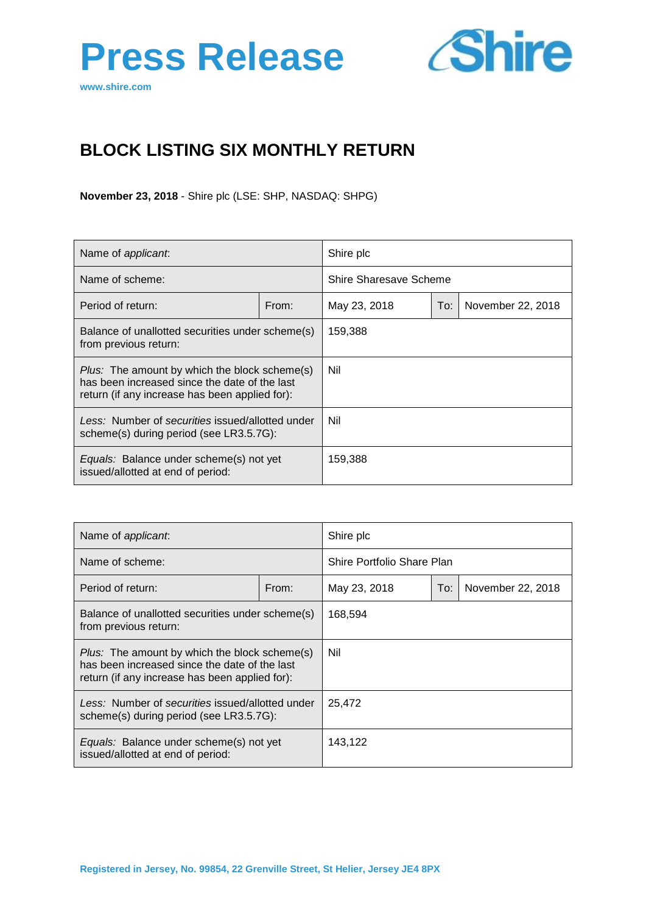



# **BLOCK LISTING SIX MONTHLY RETURN**

**November 23, 2018** - Shire plc (LSE: SHP, NASDAQ: SHPG)

| Name of <i>applicant</i> :                                                                                                                              |       | Shire plc              |     |                   |
|---------------------------------------------------------------------------------------------------------------------------------------------------------|-------|------------------------|-----|-------------------|
| Name of scheme:                                                                                                                                         |       | Shire Sharesave Scheme |     |                   |
| Period of return:                                                                                                                                       | From: | May 23, 2018           | To: | November 22, 2018 |
| Balance of unallotted securities under scheme(s)<br>from previous return:                                                                               |       | 159,388                |     |                   |
| <i>Plus:</i> The amount by which the block scheme(s)<br>has been increased since the date of the last<br>return (if any increase has been applied for): |       | Nil                    |     |                   |
| Less: Number of securities issued/allotted under<br>scheme(s) during period (see LR3.5.7G):                                                             |       | Nil                    |     |                   |
| <i>Equals:</i> Balance under scheme(s) not yet<br>issued/allotted at end of period:                                                                     |       | 159,388                |     |                   |

| Name of applicant.                                                                                                                                      |       | Shire plc                  |     |                   |
|---------------------------------------------------------------------------------------------------------------------------------------------------------|-------|----------------------------|-----|-------------------|
| Name of scheme:                                                                                                                                         |       | Shire Portfolio Share Plan |     |                   |
| Period of return:                                                                                                                                       | From: | May 23, 2018               | To: | November 22, 2018 |
| Balance of unallotted securities under scheme(s)<br>from previous return:                                                                               |       | 168,594                    |     |                   |
| <i>Plus:</i> The amount by which the block scheme(s)<br>has been increased since the date of the last<br>return (if any increase has been applied for): |       | Nil                        |     |                   |
| Less: Number of securities issued/allotted under<br>scheme(s) during period (see LR3.5.7G):                                                             |       | 25,472                     |     |                   |
| <i>Equals:</i> Balance under scheme(s) not yet<br>issued/allotted at end of period:                                                                     |       | 143,122                    |     |                   |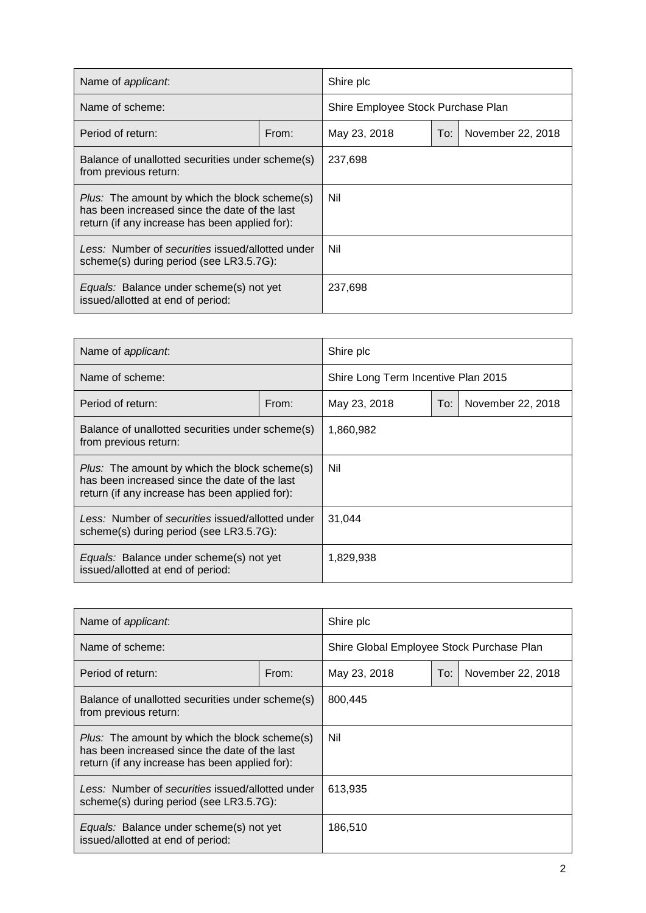| Name of applicant.                                                                                                                                      |       | Shire plc                          |     |                   |
|---------------------------------------------------------------------------------------------------------------------------------------------------------|-------|------------------------------------|-----|-------------------|
| Name of scheme:                                                                                                                                         |       | Shire Employee Stock Purchase Plan |     |                   |
| Period of return:                                                                                                                                       | From: | May 23, 2018                       | To: | November 22, 2018 |
| Balance of unallotted securities under scheme(s)<br>from previous return:                                                                               |       | 237,698                            |     |                   |
| <i>Plus:</i> The amount by which the block scheme(s)<br>has been increased since the date of the last<br>return (if any increase has been applied for): |       | Nil                                |     |                   |
| Less: Number of securities issued/allotted under<br>scheme(s) during period (see LR3.5.7G):                                                             |       | Nil                                |     |                   |
| Equals: Balance under scheme(s) not yet<br>issued/allotted at end of period:                                                                            |       | 237,698                            |     |                   |

| Name of applicant.                                                                                                                                      |       | Shire plc                           |     |                   |
|---------------------------------------------------------------------------------------------------------------------------------------------------------|-------|-------------------------------------|-----|-------------------|
| Name of scheme:                                                                                                                                         |       | Shire Long Term Incentive Plan 2015 |     |                   |
| Period of return:                                                                                                                                       | From: | May 23, 2018                        | To: | November 22, 2018 |
| Balance of unallotted securities under scheme(s)<br>from previous return:                                                                               |       | 1,860,982                           |     |                   |
| <i>Plus:</i> The amount by which the block scheme(s)<br>has been increased since the date of the last<br>return (if any increase has been applied for): |       | Nil                                 |     |                   |
| Less: Number of securities issued/allotted under<br>scheme(s) during period (see LR3.5.7G):                                                             |       | 31,044                              |     |                   |
| <i>Equals:</i> Balance under scheme(s) not yet<br>issued/allotted at end of period:                                                                     |       | 1,829,938                           |     |                   |

| Name of <i>applicant</i> :                                                                                                                       |       | Shire plc                                 |     |                   |
|--------------------------------------------------------------------------------------------------------------------------------------------------|-------|-------------------------------------------|-----|-------------------|
| Name of scheme:                                                                                                                                  |       | Shire Global Employee Stock Purchase Plan |     |                   |
| Period of return:                                                                                                                                | From: | May 23, 2018                              | To: | November 22, 2018 |
| Balance of unallotted securities under scheme(s)<br>from previous return:                                                                        |       | 800,445                                   |     |                   |
| Plus: The amount by which the block scheme(s)<br>has been increased since the date of the last<br>return (if any increase has been applied for): |       | Nil                                       |     |                   |
| Less: Number of securities issued/allotted under<br>scheme(s) during period (see LR3.5.7G):                                                      |       | 613,935                                   |     |                   |
| Equals: Balance under scheme(s) not yet<br>issued/allotted at end of period:                                                                     |       | 186,510                                   |     |                   |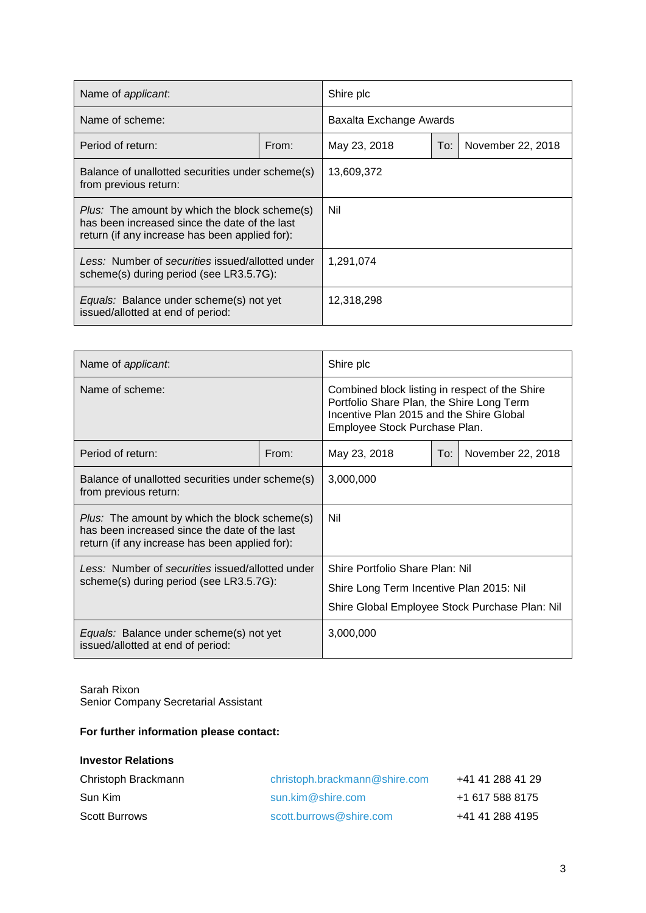| Name of <i>applicant</i> :                                                                                                                       |       | Shire plc               |     |                   |
|--------------------------------------------------------------------------------------------------------------------------------------------------|-------|-------------------------|-----|-------------------|
| Name of scheme:                                                                                                                                  |       | Baxalta Exchange Awards |     |                   |
| Period of return:                                                                                                                                | From: | May 23, 2018            | To: | November 22, 2018 |
| Balance of unallotted securities under scheme(s)<br>from previous return:                                                                        |       | 13,609,372              |     |                   |
| Plus: The amount by which the block scheme(s)<br>has been increased since the date of the last<br>return (if any increase has been applied for): |       | Nil                     |     |                   |
| Less: Number of securities issued/allotted under<br>scheme(s) during period (see LR3.5.7G):                                                      |       | 1,291,074               |     |                   |
| Equals: Balance under scheme(s) not yet<br>issued/allotted at end of period:                                                                     |       | 12,318,298              |     |                   |

| Name of applicant.                                                                                                                                      |       | Shire plc                                                                                                                                                                |  |  |
|---------------------------------------------------------------------------------------------------------------------------------------------------------|-------|--------------------------------------------------------------------------------------------------------------------------------------------------------------------------|--|--|
| Name of scheme:                                                                                                                                         |       | Combined block listing in respect of the Shire<br>Portfolio Share Plan, the Shire Long Term<br>Incentive Plan 2015 and the Shire Global<br>Employee Stock Purchase Plan. |  |  |
| Period of return:                                                                                                                                       | From: | May 23, 2018<br>November 22, 2018<br>To:                                                                                                                                 |  |  |
| Balance of unallotted securities under scheme(s)<br>from previous return:                                                                               |       | 3,000,000                                                                                                                                                                |  |  |
| <i>Plus:</i> The amount by which the block scheme(s)<br>has been increased since the date of the last<br>return (if any increase has been applied for): |       | Nil                                                                                                                                                                      |  |  |
| Less: Number of securities issued/allotted under                                                                                                        |       | Shire Portfolio Share Plan: Nil                                                                                                                                          |  |  |
| scheme(s) during period (see LR3.5.7G):                                                                                                                 |       | Shire Long Term Incentive Plan 2015: Nil                                                                                                                                 |  |  |
|                                                                                                                                                         |       | Shire Global Employee Stock Purchase Plan: Nil                                                                                                                           |  |  |
| Equals: Balance under scheme(s) not yet<br>issued/allotted at end of period:                                                                            |       | 3,000,000                                                                                                                                                                |  |  |

Sarah Rixon Senior Company Secretarial Assistant

## **For further information please contact:**

#### **Investor Relations**

| Christoph Brackmann  | christoph.brackmann@shire.com | +41 41 288 41 29 |
|----------------------|-------------------------------|------------------|
| Sun Kim              | $sun$ .kim $@$ shire.com      | +1 617 588 8175  |
| <b>Scott Burrows</b> | scott.burrows@shire.com       | +41 41 288 4195  |